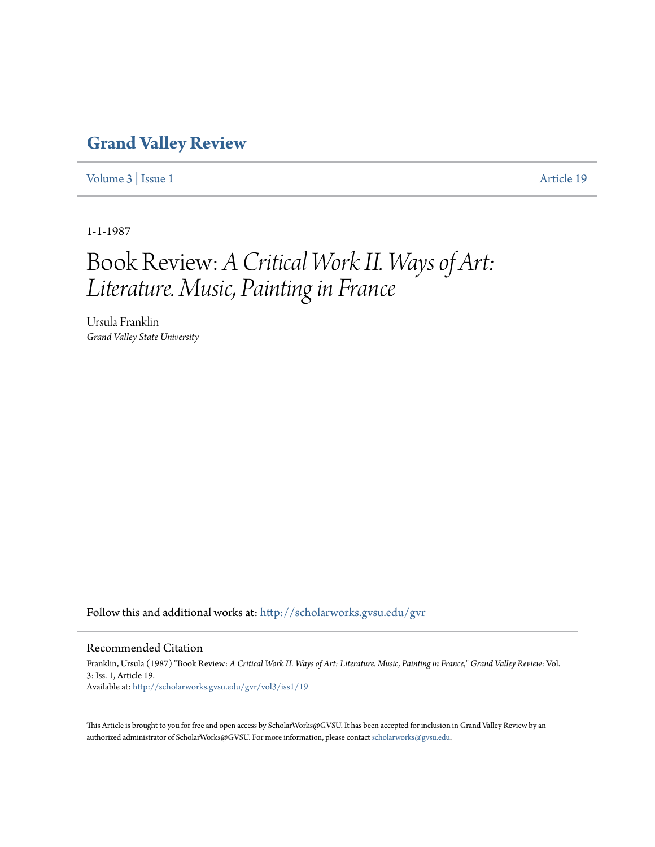## **[Grand Valley Review](http://scholarworks.gvsu.edu/gvr?utm_source=scholarworks.gvsu.edu%2Fgvr%2Fvol3%2Fiss1%2F19&utm_medium=PDF&utm_campaign=PDFCoverPages)**

[Volume 3](http://scholarworks.gvsu.edu/gvr/vol3?utm_source=scholarworks.gvsu.edu%2Fgvr%2Fvol3%2Fiss1%2F19&utm_medium=PDF&utm_campaign=PDFCoverPages) | [Issue 1](http://scholarworks.gvsu.edu/gvr/vol3/iss1?utm_source=scholarworks.gvsu.edu%2Fgvr%2Fvol3%2Fiss1%2F19&utm_medium=PDF&utm_campaign=PDFCoverPages) [Article 19](http://scholarworks.gvsu.edu/gvr/vol3/iss1/19?utm_source=scholarworks.gvsu.edu%2Fgvr%2Fvol3%2Fiss1%2F19&utm_medium=PDF&utm_campaign=PDFCoverPages)

1-1-1987

## Book Review: *A Critical Work II. Ways of Art: Literature. Music, Painting in France*

Ursula Franklin *Grand Valley State University*

Follow this and additional works at: [http://scholarworks.gvsu.edu/gvr](http://scholarworks.gvsu.edu/gvr?utm_source=scholarworks.gvsu.edu%2Fgvr%2Fvol3%2Fiss1%2F19&utm_medium=PDF&utm_campaign=PDFCoverPages)

## Recommended Citation

Franklin, Ursula (1987) "Book Review: *A Critical Work II. Ways of Art: Literature. Music, Painting in France*," *Grand Valley Review*: Vol. 3: Iss. 1, Article 19. Available at: [http://scholarworks.gvsu.edu/gvr/vol3/iss1/19](http://scholarworks.gvsu.edu/gvr/vol3/iss1/19?utm_source=scholarworks.gvsu.edu%2Fgvr%2Fvol3%2Fiss1%2F19&utm_medium=PDF&utm_campaign=PDFCoverPages)

This Article is brought to you for free and open access by ScholarWorks@GVSU. It has been accepted for inclusion in Grand Valley Review by an authorized administrator of ScholarWorks@GVSU. For more information, please contact [scholarworks@gvsu.edu.](mailto:scholarworks@gvsu.edu)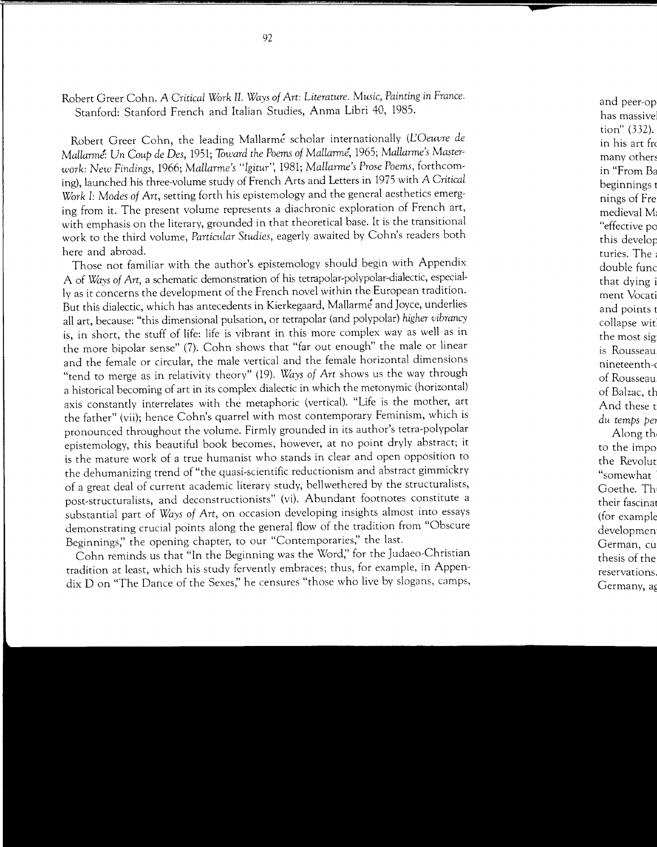Robert Greer Cohn. *A Critical Work* II. *Ways of Art: Literature. Music, Painting in France.*  Stanford: Stanford French and Italian Studies, Anma Libri 40, 1985.

Robert Greer Cohn, the leading Mallarme scholar internationally *(L'Oeuvre de Mallarm!: Un Coup de Des,* 1951; *Toward the Poems of Mallarme,* 1965; *Mallarme's Masterwork: New Findings,* 1966; *Mallarme's "Igitur",* 1981; *Mallarme's Prose Poems,* forthcoming), launched his three-volume study of French Arts and Letters in 1975 with *A Critical Work* I: *Modes of Art,* setting forth his epistemology and the general aesthetics emerging from it. The present volume represents a diachronic exploration of French art, with emphasis on the literary, grounded in that theoretical base. It is the transitional work to the third volume, *Particular Studies,* eagerly awaited by Cohn's readers both here and abroad.

Those not familiar with the author's epistemology should begin with Appendix A of *Ways of Art,* a schematic demonstration of his tetrapolar-polypolar-dialectic, especially as it concerns the development of the French novel within the European tradition. But this dialectic, which has antecedents in Kierkegaard, Mallarme and Joyce, underlies all art, because: "this dimensional pulsation, or tetrapolar (and polypolar) *higher vibrancy*  is, in short, the stuff of life: life is vibrant in this more complex way as well as in the more bipolar sense" (7). Cohn shows that "far out enough" the male or linear and the female or circular, the male vertical and the female horizontal dimensions "tend to merge as in relativity theory" (19). *Ways of Art* shows us the way through a historical becoming of art in its complex dialectic in which the metonymic (horizontal) axis constantly interrelates with the metaphoric (vertical). "Life is the mother, art the father" (vii); hence Cohn's quarrel with most contemporary Feminism, which is pronounced throughout the volume. Firmly grounded in its author's tetra-polypolar epistemology, this beautiful book becomes, however, at no point dryly abstract; it is the mature work of a true humanist who stands in clear and open opposition to the dehumanizing trend of "the quasi-scientific reductionism and abstract gimmickry of a great deal of current academic literary study, bellwethered by the structuralists, post-structuralists, and deconstructionists" (vi). Abundant footnotes constitute a substantial part of *Ways of Art,* on occasion developing insights almost into essays demonstrating crucial points along the general flow of the tradition from "Obscure Beginnings," the opening chapter, to our "Contemporaries," the last.

Cohn reminds us that "In the Beginning was the Word;' for the Judaeo-Christian tradition at least, which his study fervently embraces; thus, for example, in Appendix 0 on "The Dance of the Sexes;' he censures "those who live by slogans, camps,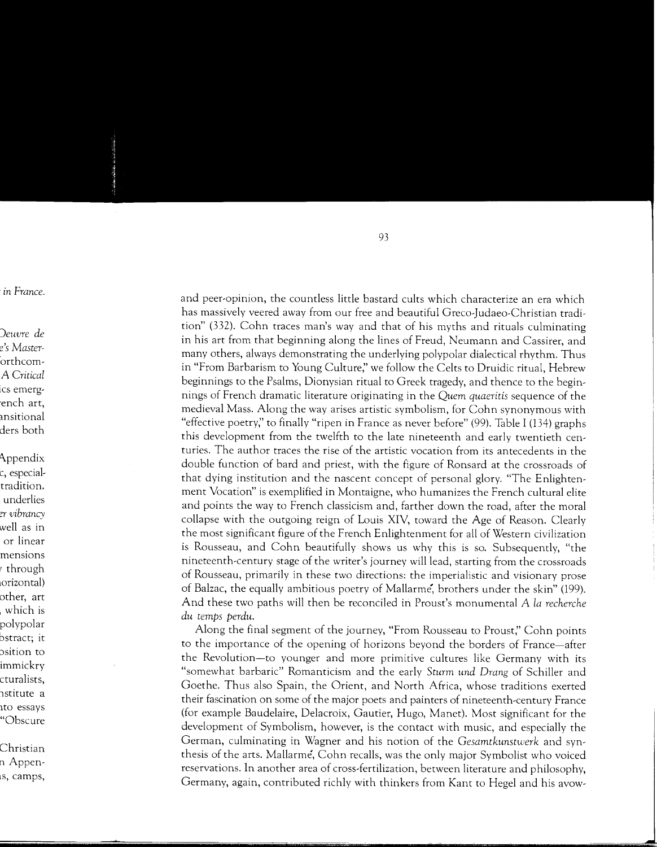and peer-opinion, the countless little bastard cults which characterize an era which has massively veered away from our free and beautiful Greco-Judaeo-Christian tradition" (332). Cohn traces man's way and that of his myths and rituals culminating in his art from that beginning along the lines of Freud, Neumann and Cassirer, and many others, always demonstrating the underlying polypolar dialectical rhythm. Thus in "From Barbarism to Young Culture," we follow the Celts to Druidic ritual, Hebrew beginnings to the Psalms, Dionysian ritual to Greek tragedy, and thence to the beginnings of French dramatic literature originating in the Quem quaeritis sequence of the medieval Mass. Along the way arises artistic symbolism, for Cohn synonymous with "effective poetry," to finally "ripen in France as never before" (99). Table I (134) graphs this development from the twelfth to the late nineteenth and early twentieth centuries. The author traces the rise of the artistic vocation from its antecedents in the double function of bard and priest, with the figure of Ronsard at the crossroads of that dying institution and the nascent concept of personal glory. "The Enlightenment Vocation" is exemplified in Montaigne, who humanizes the French cultural elite and points the way to French classicism and, farther down the road, after the moral collapse with the outgoing reign of Louis XIV, toward the Age of Reason. Clearly the most significant figure of the French Enlightenment for all of Western civilization is Rousseau, and Cohn beautifully shows us why this is so. Subsequently, "the nineteenth-century stage of the writer's journey will lead, starting from the crossroads of Rousseau, primarily in these two directions: the imperialistic and visionary prose of Balzac, the equally ambitious poetry of Mallarme, brothers under the skin" (199). And these two paths will then be reconciled in Proust's monumental A la recherche du temps perdu.

Along the final segment of the journey, "From Rousseau to Proust," Cohn points to the importance of the opening of horizons beyond the borders of France—after the Revolution-to younger and more primitive cultures like Germany with its "somewhat barbaric" Romanticism and the early Sturm und Drang of Schiller and Goethe. Thus also Spain, the Orient, and North Africa, whose traditions exerted their fascination on some of the major poets and painters of nineteenth-century France (for example Baudelaire, Delacroix, Gautier, Hugo, Manet). Most significant for the development of Symbolism, however, is the contact with music, and especially the German, culminating in Wagner and his notion of the Gesamtkunstwerk and synthesis of the arts. Mallarme, Cohn recalls, was the only major Symbolist who voiced reservations. In another area of cross-fertilization, between literature and philosophy, Germany, again, contributed richly with thinkers from Kant to Hegel and his avow